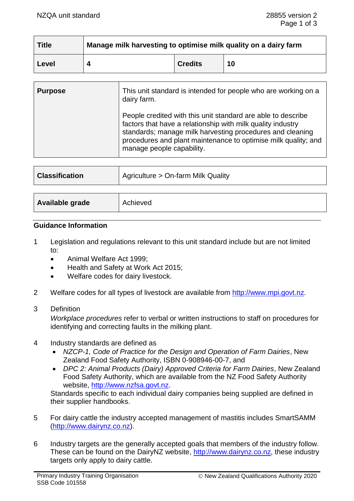| <b>Title</b> | Manage milk harvesting to optimise milk quality on a dairy farm |                |    |
|--------------|-----------------------------------------------------------------|----------------|----|
| Level        |                                                                 | <b>Credits</b> | 10 |

| <b>Purpose</b> | This unit standard is intended for people who are working on a<br>dairy farm.                                                                                                                                                                                                           |  |
|----------------|-----------------------------------------------------------------------------------------------------------------------------------------------------------------------------------------------------------------------------------------------------------------------------------------|--|
|                | People credited with this unit standard are able to describe<br>factors that have a relationship with milk quality industry<br>standards; manage milk harvesting procedures and cleaning<br>procedures and plant maintenance to optimise milk quality; and<br>manage people capability. |  |

| <b>Classification</b> | Agriculture > On-farm Milk Quality |
|-----------------------|------------------------------------|
|                       |                                    |
| Available grade       | Achieved                           |

### **Guidance Information**

- 1 Legislation and regulations relevant to this unit standard include but are not limited to:
	- Animal Welfare Act 1999;
	- Health and Safety at Work Act 2015;
	- Welfare codes for dairy livestock.
- 2 Welfare codes for all types of livestock are available from [http://www.mpi.govt.nz.](http://www.mpi.govt.nz/)
- 3 Definition

*Workplace procedures* refer to verbal or written instructions to staff on procedures for identifying and correcting faults in the milking plant.

- 4 Industry standards are defined as
	- *NZCP-1, Code of Practice for the Design and Operation of Farm Dairies*, New Zealand Food Safety Authority, ISBN 0-908946-00-7, and
	- *DPC 2: Animal Products (Dairy) Approved Criteria for Farm Dairies*, New Zealand Food Safety Authority, which are available from the NZ Food Safety Authority website, [http://www.nzfsa.govt.nz.](http://www.nzfsa.govt.nz/)

Standards specific to each individual dairy companies being supplied are defined in their supplier handbooks.

- 5 For dairy cattle the industry accepted management of mastitis includes SmartSAMM [\(http://www.dairynz.co.nz\)](http://www.dairynz.co.nz/).
- 6 Industry targets are the generally accepted goals that members of the industry follow. These can be found on the DairyNZ website, [http://www.dairynz.co.nz,](http://www.dairynz.co.nz/) these industry targets only apply to dairy cattle.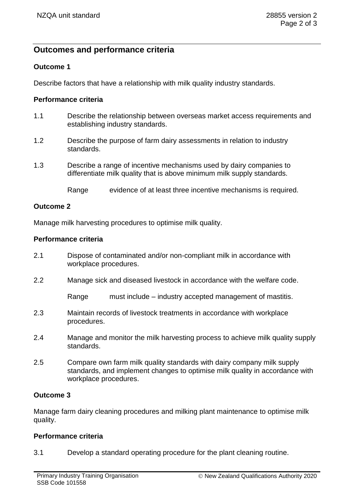# **Outcomes and performance criteria**

# **Outcome 1**

Describe factors that have a relationship with milk quality industry standards.

### **Performance criteria**

- 1.1 Describe the relationship between overseas market access requirements and establishing industry standards.
- 1.2 Describe the purpose of farm dairy assessments in relation to industry standards.
- 1.3 Describe a range of incentive mechanisms used by dairy companies to differentiate milk quality that is above minimum milk supply standards.

Range evidence of at least three incentive mechanisms is required.

### **Outcome 2**

Manage milk harvesting procedures to optimise milk quality.

# **Performance criteria**

- 2.1 Dispose of contaminated and/or non-compliant milk in accordance with workplace procedures.
- 2.2 Manage sick and diseased livestock in accordance with the welfare code.

Range must include – industry accepted management of mastitis.

- 2.3 Maintain records of livestock treatments in accordance with workplace procedures.
- 2.4 Manage and monitor the milk harvesting process to achieve milk quality supply standards.
- 2.5 Compare own farm milk quality standards with dairy company milk supply standards, and implement changes to optimise milk quality in accordance with workplace procedures.

# **Outcome 3**

Manage farm dairy cleaning procedures and milking plant maintenance to optimise milk quality.

# **Performance criteria**

3.1 Develop a standard operating procedure for the plant cleaning routine.